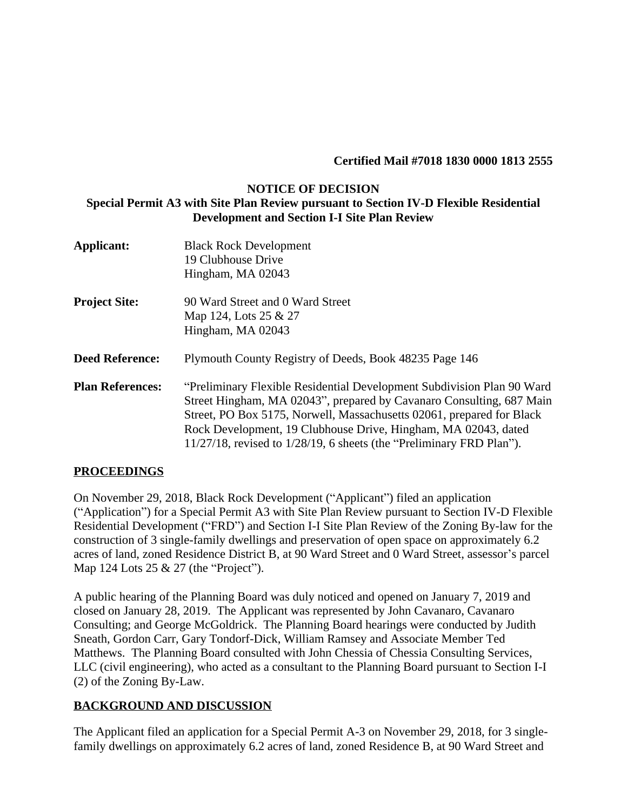#### **Certified Mail #7018 1830 0000 1813 2555**

#### **NOTICE OF DECISION Special Permit A3 with Site Plan Review pursuant to Section IV-D Flexible Residential Development and Section I-I Site Plan Review**

| <b>Applicant:</b>       | <b>Black Rock Development</b><br>19 Clubhouse Drive                        |
|-------------------------|----------------------------------------------------------------------------|
|                         | Hingham, MA 02043                                                          |
| <b>Project Site:</b>    | 90 Ward Street and 0 Ward Street                                           |
|                         | Map 124, Lots 25 & 27                                                      |
|                         | Hingham, MA 02043                                                          |
| <b>Deed Reference:</b>  | Plymouth County Registry of Deeds, Book 48235 Page 146                     |
| <b>Plan References:</b> | "Preliminary Flexible Residential Development Subdivision Plan 90 Ward     |
|                         | Street Hingham, MA 02043", prepared by Cavanaro Consulting, 687 Main       |
|                         | Street, PO Box 5175, Norwell, Massachusetts 02061, prepared for Black      |
|                         | Rock Development, 19 Clubhouse Drive, Hingham, MA 02043, dated             |
|                         | $11/27/18$ , revised to $1/28/19$ , 6 sheets (the "Preliminary FRD Plan"). |

#### **PROCEEDINGS**

On November 29, 2018, Black Rock Development ("Applicant") filed an application ("Application") for a Special Permit A3 with Site Plan Review pursuant to Section IV-D Flexible Residential Development ("FRD") and Section I-I Site Plan Review of the Zoning By-law for the construction of 3 single-family dwellings and preservation of open space on approximately 6.2 acres of land, zoned Residence District B, at 90 Ward Street and 0 Ward Street, assessor's parcel Map 124 Lots 25 & 27 (the "Project").

A public hearing of the Planning Board was duly noticed and opened on January 7, 2019 and closed on January 28, 2019. The Applicant was represented by John Cavanaro, Cavanaro Consulting; and George McGoldrick. The Planning Board hearings were conducted by Judith Sneath, Gordon Carr, Gary Tondorf-Dick, William Ramsey and Associate Member Ted Matthews. The Planning Board consulted with John Chessia of Chessia Consulting Services, LLC (civil engineering), who acted as a consultant to the Planning Board pursuant to Section I-I (2) of the Zoning By-Law.

#### **BACKGROUND AND DISCUSSION**

The Applicant filed an application for a Special Permit A-3 on November 29, 2018, for 3 singlefamily dwellings on approximately 6.2 acres of land, zoned Residence B, at 90 Ward Street and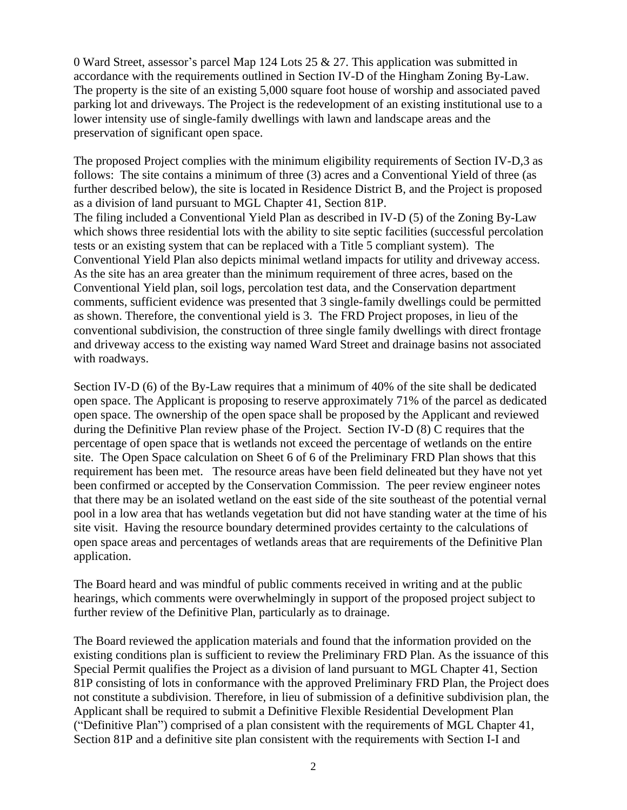0 Ward Street, assessor's parcel Map 124 Lots 25 & 27. This application was submitted in accordance with the requirements outlined in Section IV-D of the Hingham Zoning By-Law. The property is the site of an existing 5,000 square foot house of worship and associated paved parking lot and driveways. The Project is the redevelopment of an existing institutional use to a lower intensity use of single-family dwellings with lawn and landscape areas and the preservation of significant open space.

The proposed Project complies with the minimum eligibility requirements of Section IV-D,3 as follows: The site contains a minimum of three (3) acres and a Conventional Yield of three (as further described below), the site is located in Residence District B, and the Project is proposed as a division of land pursuant to MGL Chapter 41, Section 81P. The filing included a Conventional Yield Plan as described in IV-D (5) of the Zoning By-Law which shows three residential lots with the ability to site septic facilities (successful percolation tests or an existing system that can be replaced with a Title 5 compliant system). The Conventional Yield Plan also depicts minimal wetland impacts for utility and driveway access. As the site has an area greater than the minimum requirement of three acres, based on the Conventional Yield plan, soil logs, percolation test data, and the Conservation department comments, sufficient evidence was presented that 3 single-family dwellings could be permitted as shown. Therefore, the conventional yield is 3. The FRD Project proposes, in lieu of the conventional subdivision, the construction of three single family dwellings with direct frontage and driveway access to the existing way named Ward Street and drainage basins not associated with roadways.

Section IV-D (6) of the By-Law requires that a minimum of 40% of the site shall be dedicated open space. The Applicant is proposing to reserve approximately 71% of the parcel as dedicated open space. The ownership of the open space shall be proposed by the Applicant and reviewed during the Definitive Plan review phase of the Project. Section IV-D (8) C requires that the percentage of open space that is wetlands not exceed the percentage of wetlands on the entire site. The Open Space calculation on Sheet 6 of 6 of the Preliminary FRD Plan shows that this requirement has been met. The resource areas have been field delineated but they have not yet been confirmed or accepted by the Conservation Commission. The peer review engineer notes that there may be an isolated wetland on the east side of the site southeast of the potential vernal pool in a low area that has wetlands vegetation but did not have standing water at the time of his site visit. Having the resource boundary determined provides certainty to the calculations of open space areas and percentages of wetlands areas that are requirements of the Definitive Plan application.

The Board heard and was mindful of public comments received in writing and at the public hearings, which comments were overwhelmingly in support of the proposed project subject to further review of the Definitive Plan, particularly as to drainage.

The Board reviewed the application materials and found that the information provided on the existing conditions plan is sufficient to review the Preliminary FRD Plan. As the issuance of this Special Permit qualifies the Project as a division of land pursuant to MGL Chapter 41, Section 81P consisting of lots in conformance with the approved Preliminary FRD Plan, the Project does not constitute a subdivision. Therefore, in lieu of submission of a definitive subdivision plan, the Applicant shall be required to submit a Definitive Flexible Residential Development Plan ("Definitive Plan") comprised of a plan consistent with the requirements of MGL Chapter 41, Section 81P and a definitive site plan consistent with the requirements with Section I-I and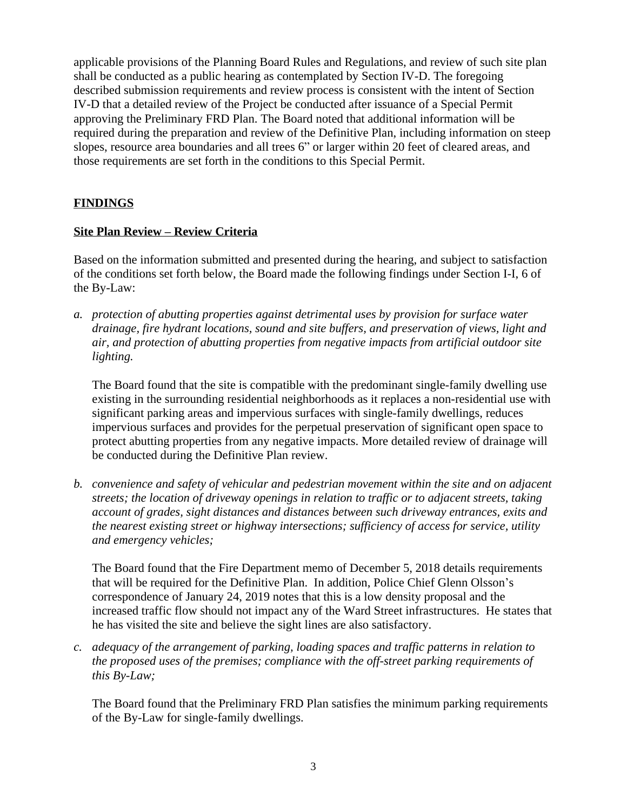applicable provisions of the Planning Board Rules and Regulations, and review of such site plan shall be conducted as a public hearing as contemplated by Section IV-D. The foregoing described submission requirements and review process is consistent with the intent of Section IV-D that a detailed review of the Project be conducted after issuance of a Special Permit approving the Preliminary FRD Plan. The Board noted that additional information will be required during the preparation and review of the Definitive Plan, including information on steep slopes, resource area boundaries and all trees 6" or larger within 20 feet of cleared areas, and those requirements are set forth in the conditions to this Special Permit.

## **FINDINGS**

#### **Site Plan Review – Review Criteria**

Based on the information submitted and presented during the hearing, and subject to satisfaction of the conditions set forth below, the Board made the following findings under Section I-I, 6 of the By-Law:

*a. protection of abutting properties against detrimental uses by provision for surface water drainage, fire hydrant locations, sound and site buffers, and preservation of views, light and air, and protection of abutting properties from negative impacts from artificial outdoor site lighting.*

The Board found that the site is compatible with the predominant single-family dwelling use existing in the surrounding residential neighborhoods as it replaces a non-residential use with significant parking areas and impervious surfaces with single-family dwellings, reduces impervious surfaces and provides for the perpetual preservation of significant open space to protect abutting properties from any negative impacts. More detailed review of drainage will be conducted during the Definitive Plan review.

*b. convenience and safety of vehicular and pedestrian movement within the site and on adjacent streets; the location of driveway openings in relation to traffic or to adjacent streets, taking account of grades, sight distances and distances between such driveway entrances, exits and the nearest existing street or highway intersections; sufficiency of access for service, utility and emergency vehicles;*

The Board found that the Fire Department memo of December 5, 2018 details requirements that will be required for the Definitive Plan. In addition, Police Chief Glenn Olsson's correspondence of January 24, 2019 notes that this is a low density proposal and the increased traffic flow should not impact any of the Ward Street infrastructures. He states that he has visited the site and believe the sight lines are also satisfactory.

*c. adequacy of the arrangement of parking, loading spaces and traffic patterns in relation to the proposed uses of the premises; compliance with the off-street parking requirements of this By-Law;*

The Board found that the Preliminary FRD Plan satisfies the minimum parking requirements of the By-Law for single-family dwellings.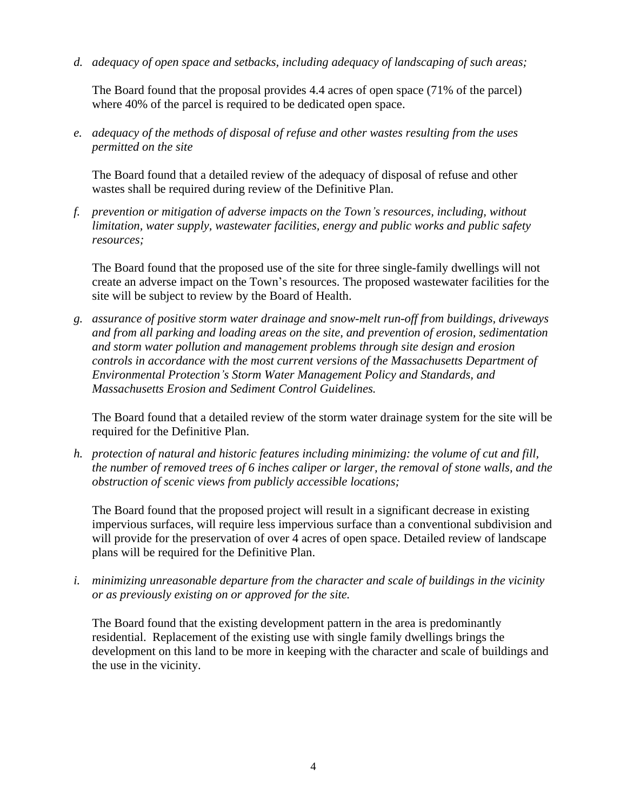*d. adequacy of open space and setbacks, including adequacy of landscaping of such areas;*

The Board found that the proposal provides 4.4 acres of open space (71% of the parcel) where 40% of the parcel is required to be dedicated open space.

*e. adequacy of the methods of disposal of refuse and other wastes resulting from the uses permitted on the site*

The Board found that a detailed review of the adequacy of disposal of refuse and other wastes shall be required during review of the Definitive Plan.

*f. prevention or mitigation of adverse impacts on the Town's resources, including, without limitation, water supply, wastewater facilities, energy and public works and public safety resources;*

The Board found that the proposed use of the site for three single-family dwellings will not create an adverse impact on the Town's resources. The proposed wastewater facilities for the site will be subject to review by the Board of Health.

*g. assurance of positive storm water drainage and snow-melt run-off from buildings, driveways and from all parking and loading areas on the site, and prevention of erosion, sedimentation and storm water pollution and management problems through site design and erosion controls in accordance with the most current versions of the Massachusetts Department of Environmental Protection's Storm Water Management Policy and Standards, and Massachusetts Erosion and Sediment Control Guidelines.*

The Board found that a detailed review of the storm water drainage system for the site will be required for the Definitive Plan.

*h. protection of natural and historic features including minimizing: the volume of cut and fill, the number of removed trees of 6 inches caliper or larger, the removal of stone walls, and the obstruction of scenic views from publicly accessible locations;* 

The Board found that the proposed project will result in a significant decrease in existing impervious surfaces, will require less impervious surface than a conventional subdivision and will provide for the preservation of over 4 acres of open space. Detailed review of landscape plans will be required for the Definitive Plan.

*i. minimizing unreasonable departure from the character and scale of buildings in the vicinity or as previously existing on or approved for the site.* 

The Board found that the existing development pattern in the area is predominantly residential. Replacement of the existing use with single family dwellings brings the development on this land to be more in keeping with the character and scale of buildings and the use in the vicinity.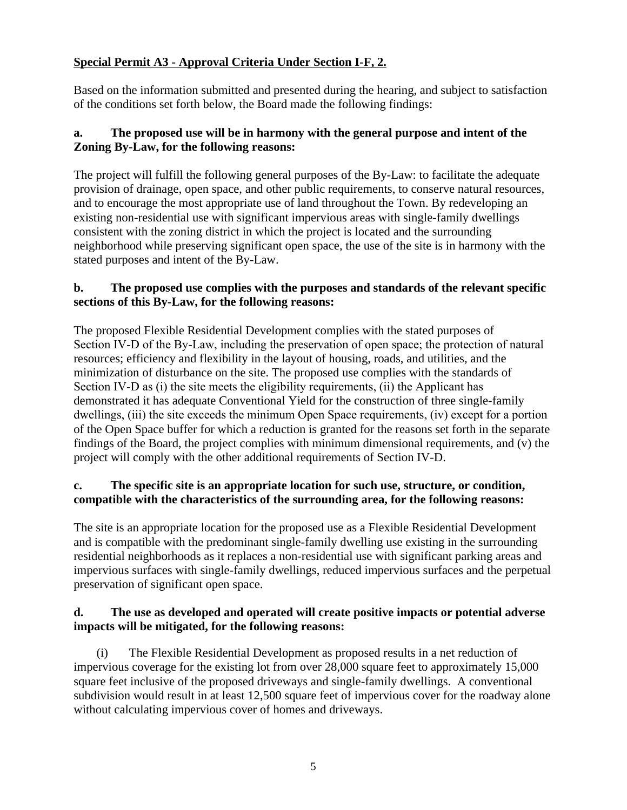## **Special Permit A3 - Approval Criteria Under Section I-F, 2.**

Based on the information submitted and presented during the hearing, and subject to satisfaction of the conditions set forth below, the Board made the following findings:

## **a. The proposed use will be in harmony with the general purpose and intent of the Zoning By-Law, for the following reasons:**

The project will fulfill the following general purposes of the By-Law: to facilitate the adequate provision of drainage, open space, and other public requirements, to conserve natural resources, and to encourage the most appropriate use of land throughout the Town. By redeveloping an existing non-residential use with significant impervious areas with single-family dwellings consistent with the zoning district in which the project is located and the surrounding neighborhood while preserving significant open space, the use of the site is in harmony with the stated purposes and intent of the By-Law.

#### **b. The proposed use complies with the purposes and standards of the relevant specific sections of this By-Law, for the following reasons:**

The proposed Flexible Residential Development complies with the stated purposes of Section IV-D of the By-Law, including the preservation of open space; the protection of natural resources; efficiency and flexibility in the layout of housing, roads, and utilities, and the minimization of disturbance on the site. The proposed use complies with the standards of Section IV-D as (i) the site meets the eligibility requirements, (ii) the Applicant has demonstrated it has adequate Conventional Yield for the construction of three single-family dwellings, (iii) the site exceeds the minimum Open Space requirements, (iv) except for a portion of the Open Space buffer for which a reduction is granted for the reasons set forth in the separate findings of the Board, the project complies with minimum dimensional requirements, and (v) the project will comply with the other additional requirements of Section IV-D.

## **c. The specific site is an appropriate location for such use, structure, or condition, compatible with the characteristics of the surrounding area, for the following reasons:**

The site is an appropriate location for the proposed use as a Flexible Residential Development and is compatible with the predominant single-family dwelling use existing in the surrounding residential neighborhoods as it replaces a non-residential use with significant parking areas and impervious surfaces with single-family dwellings, reduced impervious surfaces and the perpetual preservation of significant open space.

#### **d. The use as developed and operated will create positive impacts or potential adverse impacts will be mitigated, for the following reasons:**

(i) The Flexible Residential Development as proposed results in a net reduction of impervious coverage for the existing lot from over 28,000 square feet to approximately 15,000 square feet inclusive of the proposed driveways and single-family dwellings. A conventional subdivision would result in at least 12,500 square feet of impervious cover for the roadway alone without calculating impervious cover of homes and driveways.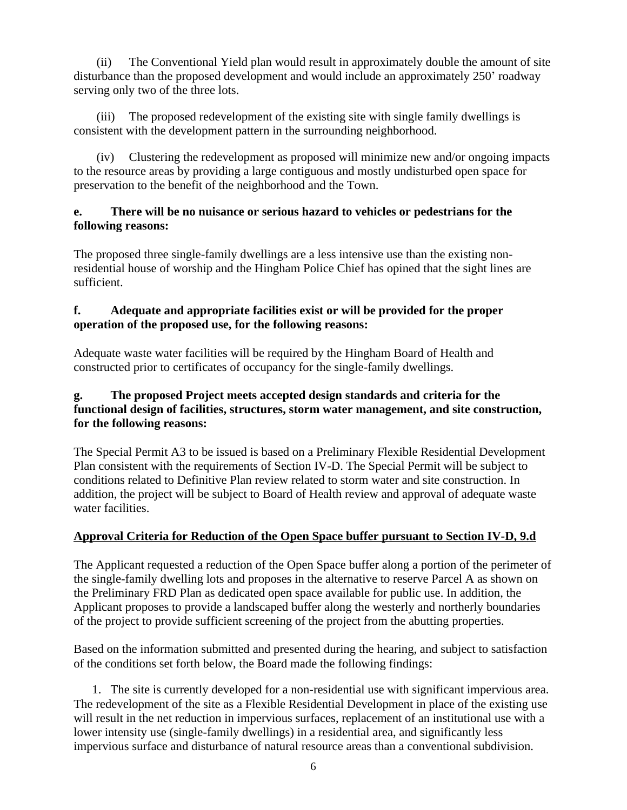(ii) The Conventional Yield plan would result in approximately double the amount of site disturbance than the proposed development and would include an approximately 250' roadway serving only two of the three lots.

(iii) The proposed redevelopment of the existing site with single family dwellings is consistent with the development pattern in the surrounding neighborhood.

(iv) Clustering the redevelopment as proposed will minimize new and/or ongoing impacts to the resource areas by providing a large contiguous and mostly undisturbed open space for preservation to the benefit of the neighborhood and the Town.

## **e. There will be no nuisance or serious hazard to vehicles or pedestrians for the following reasons:**

The proposed three single-family dwellings are a less intensive use than the existing nonresidential house of worship and the Hingham Police Chief has opined that the sight lines are sufficient.

## **f. Adequate and appropriate facilities exist or will be provided for the proper operation of the proposed use, for the following reasons:**

Adequate waste water facilities will be required by the Hingham Board of Health and constructed prior to certificates of occupancy for the single-family dwellings.

### **g. The proposed Project meets accepted design standards and criteria for the functional design of facilities, structures, storm water management, and site construction, for the following reasons:**

The Special Permit A3 to be issued is based on a Preliminary Flexible Residential Development Plan consistent with the requirements of Section IV-D. The Special Permit will be subject to conditions related to Definitive Plan review related to storm water and site construction. In addition, the project will be subject to Board of Health review and approval of adequate waste water facilities.

# **Approval Criteria for Reduction of the Open Space buffer pursuant to Section IV-D, 9.d**

The Applicant requested a reduction of the Open Space buffer along a portion of the perimeter of the single-family dwelling lots and proposes in the alternative to reserve Parcel A as shown on the Preliminary FRD Plan as dedicated open space available for public use. In addition, the Applicant proposes to provide a landscaped buffer along the westerly and northerly boundaries of the project to provide sufficient screening of the project from the abutting properties.

Based on the information submitted and presented during the hearing, and subject to satisfaction of the conditions set forth below, the Board made the following findings:

1. The site is currently developed for a non-residential use with significant impervious area. The redevelopment of the site as a Flexible Residential Development in place of the existing use will result in the net reduction in impervious surfaces, replacement of an institutional use with a lower intensity use (single-family dwellings) in a residential area, and significantly less impervious surface and disturbance of natural resource areas than a conventional subdivision.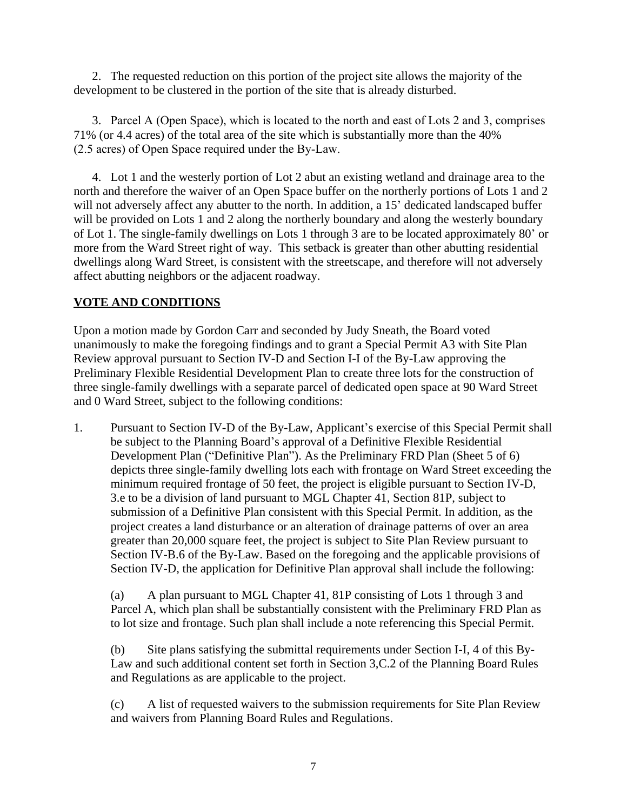2. The requested reduction on this portion of the project site allows the majority of the development to be clustered in the portion of the site that is already disturbed.

3. Parcel A (Open Space), which is located to the north and east of Lots 2 and 3, comprises 71% (or 4.4 acres) of the total area of the site which is substantially more than the 40% (2.5 acres) of Open Space required under the By-Law.

4. Lot 1 and the westerly portion of Lot 2 abut an existing wetland and drainage area to the north and therefore the waiver of an Open Space buffer on the northerly portions of Lots 1 and 2 will not adversely affect any abutter to the north. In addition, a 15' dedicated landscaped buffer will be provided on Lots 1 and 2 along the northerly boundary and along the westerly boundary of Lot 1. The single-family dwellings on Lots 1 through 3 are to be located approximately 80' or more from the Ward Street right of way. This setback is greater than other abutting residential dwellings along Ward Street, is consistent with the streetscape, and therefore will not adversely affect abutting neighbors or the adjacent roadway.

## **VOTE AND CONDITIONS**

Upon a motion made by Gordon Carr and seconded by Judy Sneath, the Board voted unanimously to make the foregoing findings and to grant a Special Permit A3 with Site Plan Review approval pursuant to Section IV-D and Section I-I of the By-Law approving the Preliminary Flexible Residential Development Plan to create three lots for the construction of three single-family dwellings with a separate parcel of dedicated open space at 90 Ward Street and 0 Ward Street, subject to the following conditions:

1. Pursuant to Section IV-D of the By-Law, Applicant's exercise of this Special Permit shall be subject to the Planning Board's approval of a Definitive Flexible Residential Development Plan ("Definitive Plan"). As the Preliminary FRD Plan (Sheet 5 of 6) depicts three single-family dwelling lots each with frontage on Ward Street exceeding the minimum required frontage of 50 feet, the project is eligible pursuant to Section IV-D, 3.e to be a division of land pursuant to MGL Chapter 41, Section 81P, subject to submission of a Definitive Plan consistent with this Special Permit. In addition, as the project creates a land disturbance or an alteration of drainage patterns of over an area greater than 20,000 square feet, the project is subject to Site Plan Review pursuant to Section IV-B.6 of the By-Law. Based on the foregoing and the applicable provisions of Section IV-D, the application for Definitive Plan approval shall include the following:

(a) A plan pursuant to MGL Chapter 41, 81P consisting of Lots 1 through 3 and Parcel A, which plan shall be substantially consistent with the Preliminary FRD Plan as to lot size and frontage. Such plan shall include a note referencing this Special Permit.

(b) Site plans satisfying the submittal requirements under Section I-I, 4 of this By-Law and such additional content set forth in Section 3,C.2 of the Planning Board Rules and Regulations as are applicable to the project.

(c) A list of requested waivers to the submission requirements for Site Plan Review and waivers from Planning Board Rules and Regulations.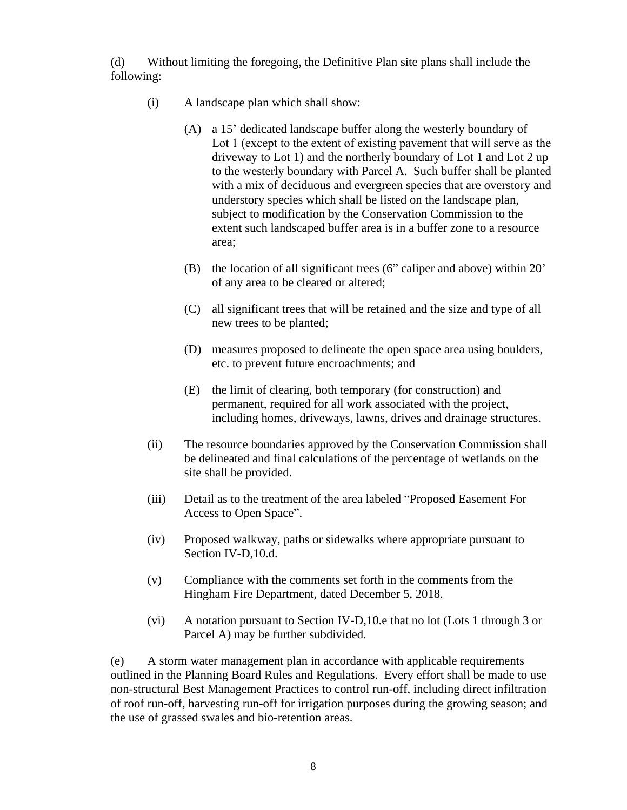(d) Without limiting the foregoing, the Definitive Plan site plans shall include the following:

- (i) A landscape plan which shall show:
	- (A) a 15' dedicated landscape buffer along the westerly boundary of Lot 1 (except to the extent of existing pavement that will serve as the driveway to Lot 1) and the northerly boundary of Lot 1 and Lot 2 up to the westerly boundary with Parcel A. Such buffer shall be planted with a mix of deciduous and evergreen species that are overstory and understory species which shall be listed on the landscape plan, subject to modification by the Conservation Commission to the extent such landscaped buffer area is in a buffer zone to a resource area;
	- (B) the location of all significant trees (6" caliper and above) within 20' of any area to be cleared or altered;
	- (C) all significant trees that will be retained and the size and type of all new trees to be planted;
	- (D) measures proposed to delineate the open space area using boulders, etc. to prevent future encroachments; and
	- (E) the limit of clearing, both temporary (for construction) and permanent, required for all work associated with the project, including homes, driveways, lawns, drives and drainage structures.
- (ii) The resource boundaries approved by the Conservation Commission shall be delineated and final calculations of the percentage of wetlands on the site shall be provided.
- (iii) Detail as to the treatment of the area labeled "Proposed Easement For Access to Open Space".
- (iv) Proposed walkway, paths or sidewalks where appropriate pursuant to Section IV-D,10.d.
- (v) Compliance with the comments set forth in the comments from the Hingham Fire Department, dated December 5, 2018.
- (vi) A notation pursuant to Section IV-D,10.e that no lot (Lots 1 through 3 or Parcel A) may be further subdivided.

(e) A storm water management plan in accordance with applicable requirements outlined in the Planning Board Rules and Regulations. Every effort shall be made to use non-structural Best Management Practices to control run-off, including direct infiltration of roof run-off, harvesting run-off for irrigation purposes during the growing season; and the use of grassed swales and bio-retention areas.